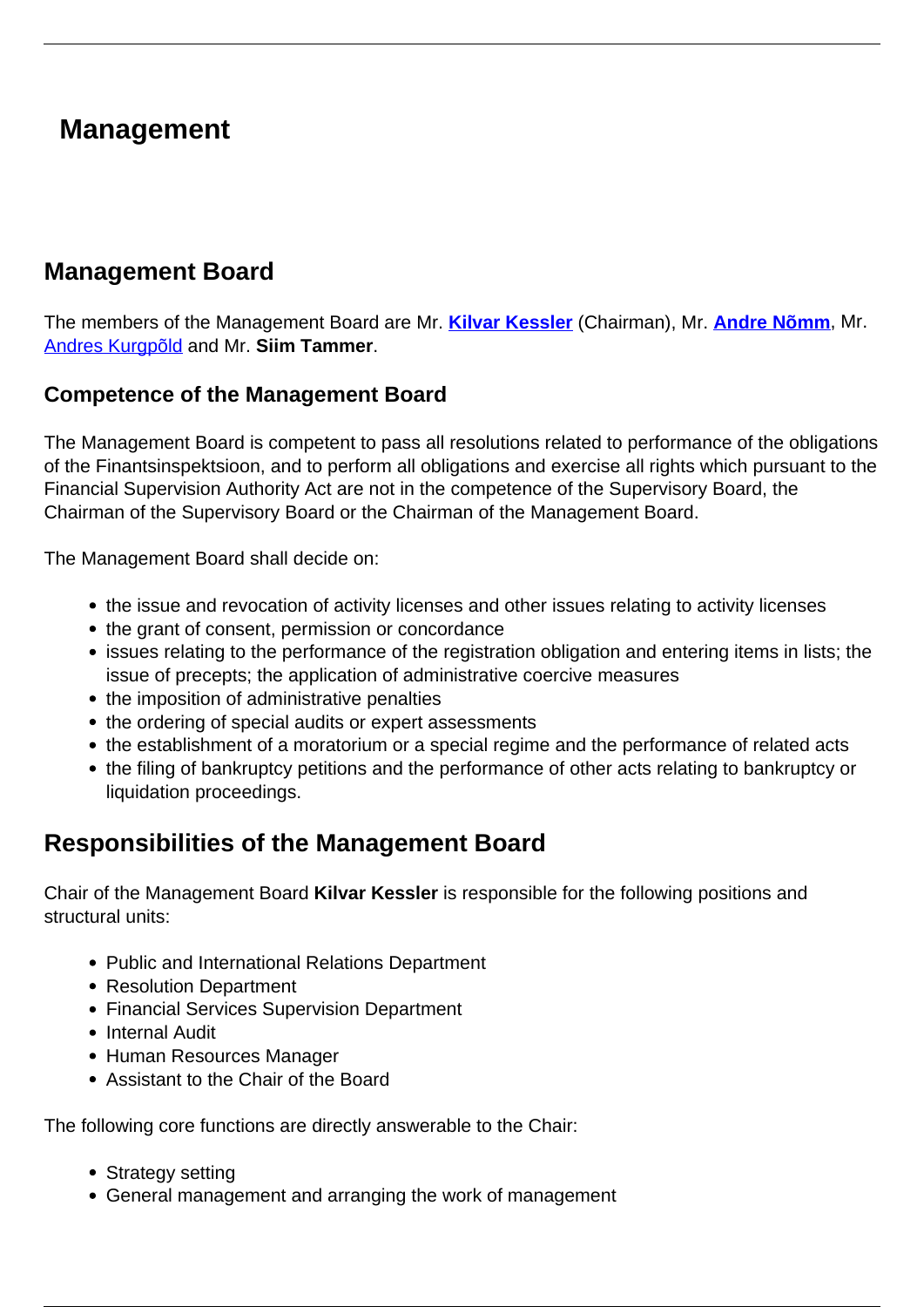## **Management**

## **Management Board**

The members of the Management Board are Mr. **[Kilvar Kessler](/en/finantsinspektsioon/about-finantsinspektsioon/management/kilvar-kessler)** (Chairman), Mr. **[Andre Nõmm](https://www.fi.ee/en/finantsinspektsioon/about-finantsinspektsioon/management/andre-nomm)**, Mr. [Andres Kurgpõld](https://www.fi.ee/en/finantsinspektsioon/about-finantsinspektsioon/management/andres-kurgpold) and Mr. **Siim Tammer**.

#### **Competence of the Management Board**

The Management Board is competent to pass all resolutions related to performance of the obligations of the Finantsinspektsioon, and to perform all obligations and exercise all rights which pursuant to the Financial Supervision Authority Act are not in the competence of the Supervisory Board, the Chairman of the Supervisory Board or the Chairman of the Management Board.

The Management Board shall decide on:

- the issue and revocation of activity licenses and other issues relating to activity licenses
- the grant of consent, permission or concordance
- issues relating to the performance of the registration obligation and entering items in lists; the issue of precepts; the application of administrative coercive measures
- the imposition of administrative penalties
- the ordering of special audits or expert assessments
- the establishment of a moratorium or a special regime and the performance of related acts
- the filing of bankruptcy petitions and the performance of other acts relating to bankruptcy or liquidation proceedings.

## **Responsibilities of the Management Board**

Chair of the Management Board **Kilvar Kessler** is responsible for the following positions and structural units:

- Public and International Relations Department
- Resolution Department
- Financial Services Supervision Department
- Internal Audit
- Human Resources Manager
- Assistant to the Chair of the Board

The following core functions are directly answerable to the Chair:

- Strategy setting
- General management and arranging the work of management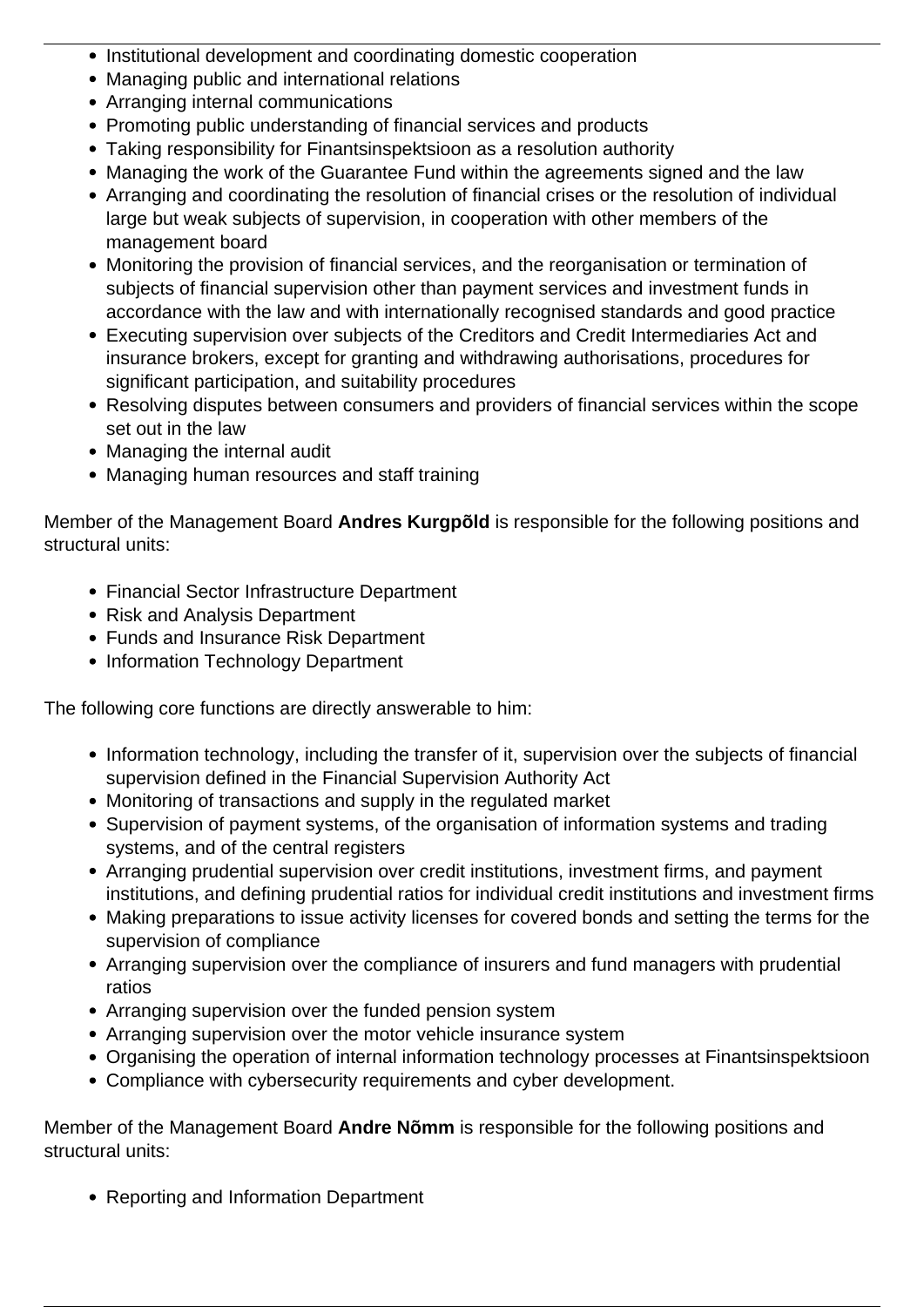- Institutional development and coordinating domestic cooperation
- Managing public and international relations
- Arranging internal communications
- Promoting public understanding of financial services and products
- Taking responsibility for Finantsinspektsioon as a resolution authority
- Managing the work of the Guarantee Fund within the agreements signed and the law
- Arranging and coordinating the resolution of financial crises or the resolution of individual large but weak subjects of supervision, in cooperation with other members of the management board
- Monitoring the provision of financial services, and the reorganisation or termination of subjects of financial supervision other than payment services and investment funds in accordance with the law and with internationally recognised standards and good practice
- Executing supervision over subjects of the Creditors and Credit Intermediaries Act and insurance brokers, except for granting and withdrawing authorisations, procedures for significant participation, and suitability procedures
- Resolving disputes between consumers and providers of financial services within the scope set out in the law
- Managing the internal audit
- Managing human resources and staff training

Member of the Management Board **Andres Kurgpõld** is responsible for the following positions and structural units:

- Financial Sector Infrastructure Department
- Risk and Analysis Department
- Funds and Insurance Risk Department
- Information Technology Department

The following core functions are directly answerable to him:

- Information technology, including the transfer of it, supervision over the subjects of financial supervision defined in the Financial Supervision Authority Act
- Monitoring of transactions and supply in the regulated market
- Supervision of payment systems, of the organisation of information systems and trading systems, and of the central registers
- Arranging prudential supervision over credit institutions, investment firms, and payment institutions, and defining prudential ratios for individual credit institutions and investment firms
- Making preparations to issue activity licenses for covered bonds and setting the terms for the supervision of compliance
- Arranging supervision over the compliance of insurers and fund managers with prudential ratios
- Arranging supervision over the funded pension system
- Arranging supervision over the motor vehicle insurance system
- Organising the operation of internal information technology processes at Finantsinspektsioon
- Compliance with cybersecurity requirements and cyber development.

Member of the Management Board **Andre Nõmm** is responsible for the following positions and structural units:

• Reporting and Information Department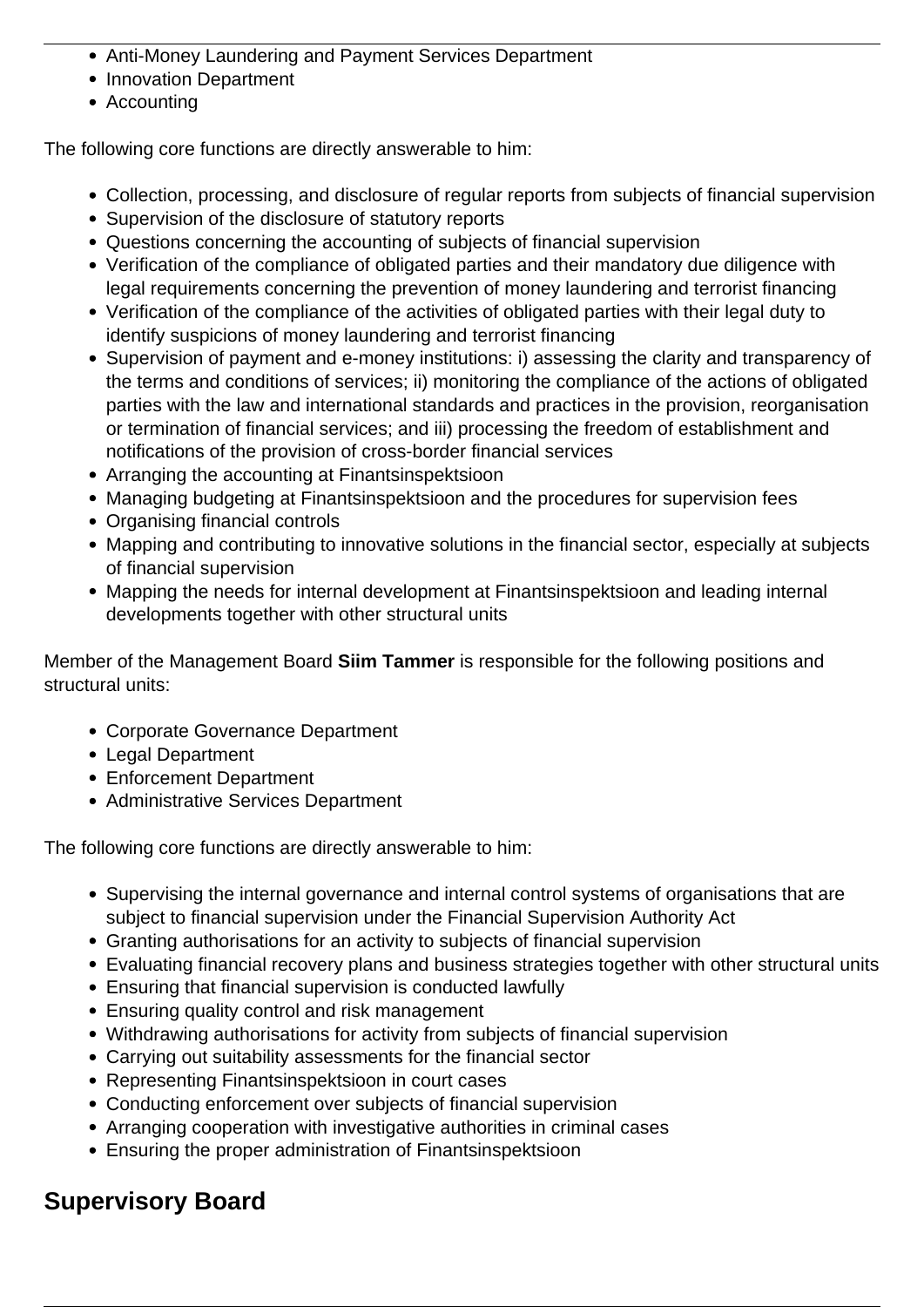- Anti-Money Laundering and Payment Services Department
- Innovation Department
- Accounting

The following core functions are directly answerable to him:

- Collection, processing, and disclosure of regular reports from subjects of financial supervision
- Supervision of the disclosure of statutory reports
- Questions concerning the accounting of subjects of financial supervision
- Verification of the compliance of obligated parties and their mandatory due diligence with legal requirements concerning the prevention of money laundering and terrorist financing
- Verification of the compliance of the activities of obligated parties with their legal duty to identify suspicions of money laundering and terrorist financing
- Supervision of payment and e-money institutions: i) assessing the clarity and transparency of the terms and conditions of services; ii) monitoring the compliance of the actions of obligated parties with the law and international standards and practices in the provision, reorganisation or termination of financial services; and iii) processing the freedom of establishment and notifications of the provision of cross-border financial services
- Arranging the accounting at Finantsinspektsioon
- Managing budgeting at Finantsinspektsioon and the procedures for supervision fees
- Organising financial controls
- Mapping and contributing to innovative solutions in the financial sector, especially at subjects of financial supervision
- Mapping the needs for internal development at Finantsinspektsioon and leading internal developments together with other structural units

Member of the Management Board **Siim Tammer** is responsible for the following positions and structural units:

- Corporate Governance Department
- Legal Department
- Enforcement Department
- Administrative Services Department

The following core functions are directly answerable to him:

- Supervising the internal governance and internal control systems of organisations that are subject to financial supervision under the Financial Supervision Authority Act
- Granting authorisations for an activity to subjects of financial supervision
- Evaluating financial recovery plans and business strategies together with other structural units
- Ensuring that financial supervision is conducted lawfully
- Ensuring quality control and risk management
- Withdrawing authorisations for activity from subjects of financial supervision
- Carrying out suitability assessments for the financial sector
- Representing Finantsinspektsioon in court cases
- Conducting enforcement over subjects of financial supervision
- Arranging cooperation with investigative authorities in criminal cases
- Ensuring the proper administration of Finantsinspektsioon

# **Supervisory Board**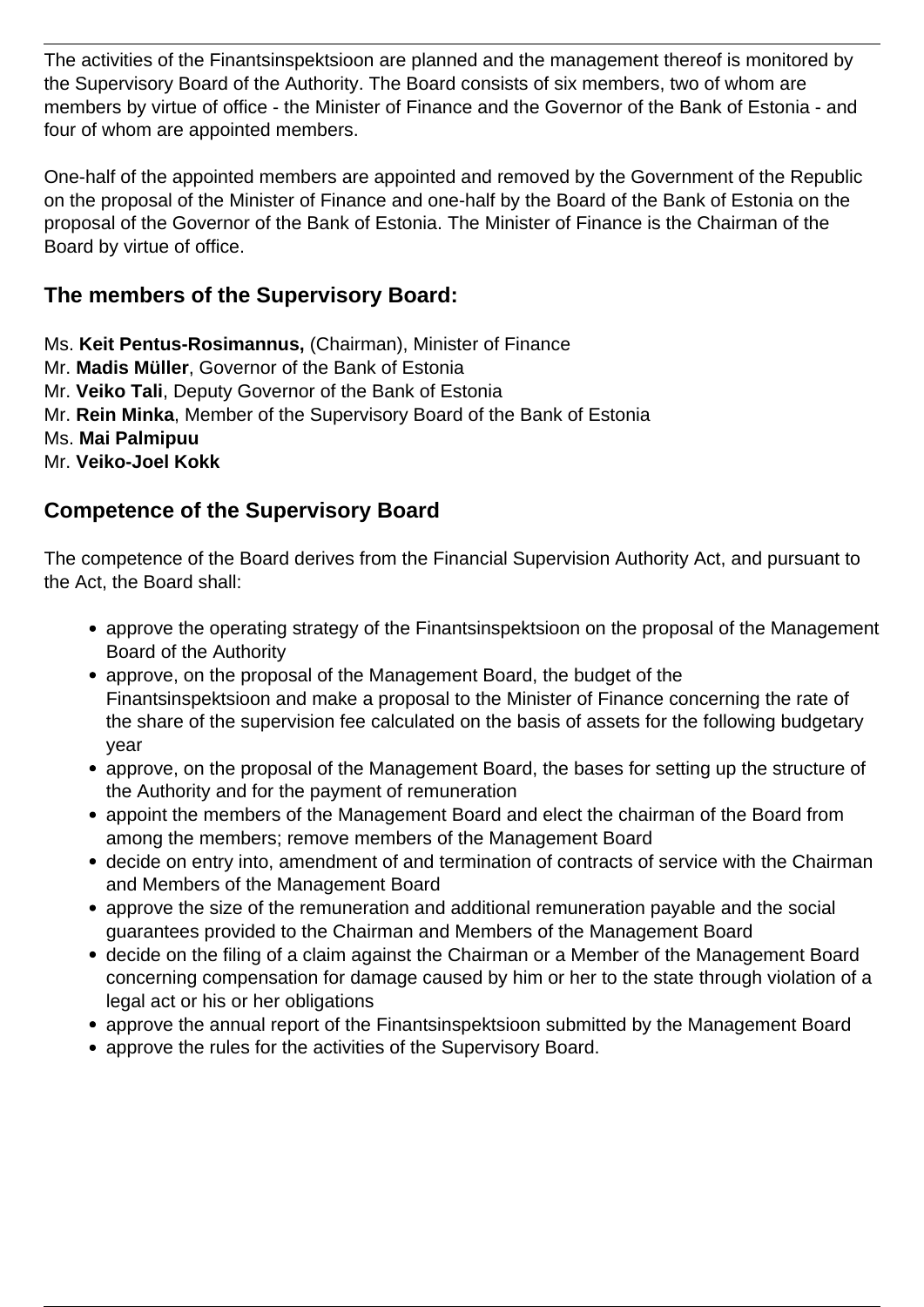The activities of the Finantsinspektsioon are planned and the management thereof is monitored by the Supervisory Board of the Authority. The Board consists of six members, two of whom are members by virtue of office - the Minister of Finance and the Governor of the Bank of Estonia - and four of whom are appointed members.

One-half of the appointed members are appointed and removed by the Government of the Republic on the proposal of the Minister of Finance and one-half by the Board of the Bank of Estonia on the proposal of the Governor of the Bank of Estonia. The Minister of Finance is the Chairman of the Board by virtue of office.

### **The members of the Supervisory Board:**

Ms. **Keit Pentus-Rosimannus,** (Chairman), Minister of Finance

Mr. **Madis Müller**, Governor of the Bank of Estonia

Mr. **Veiko Tali**, Deputy Governor of the Bank of Estonia

Mr. **Rein Minka**, Member of the Supervisory Board of the Bank of Estonia

Ms. **Mai Palmipuu** 

Mr. **Veiko-Joel Kokk**

### **Competence of the Supervisory Board**

The competence of the Board derives from the Financial Supervision Authority Act, and pursuant to the Act, the Board shall:

- approve the operating strategy of the Finantsinspektsioon on the proposal of the Management Board of the Authority
- approve, on the proposal of the Management Board, the budget of the Finantsinspektsioon and make a proposal to the Minister of Finance concerning the rate of the share of the supervision fee calculated on the basis of assets for the following budgetary year
- approve, on the proposal of the Management Board, the bases for setting up the structure of the Authority and for the payment of remuneration
- appoint the members of the Management Board and elect the chairman of the Board from among the members; remove members of the Management Board
- decide on entry into, amendment of and termination of contracts of service with the Chairman and Members of the Management Board
- approve the size of the remuneration and additional remuneration payable and the social guarantees provided to the Chairman and Members of the Management Board
- decide on the filing of a claim against the Chairman or a Member of the Management Board concerning compensation for damage caused by him or her to the state through violation of a legal act or his or her obligations
- approve the annual report of the Finantsinspektsioon submitted by the Management Board
- approve the rules for the activities of the Supervisory Board.